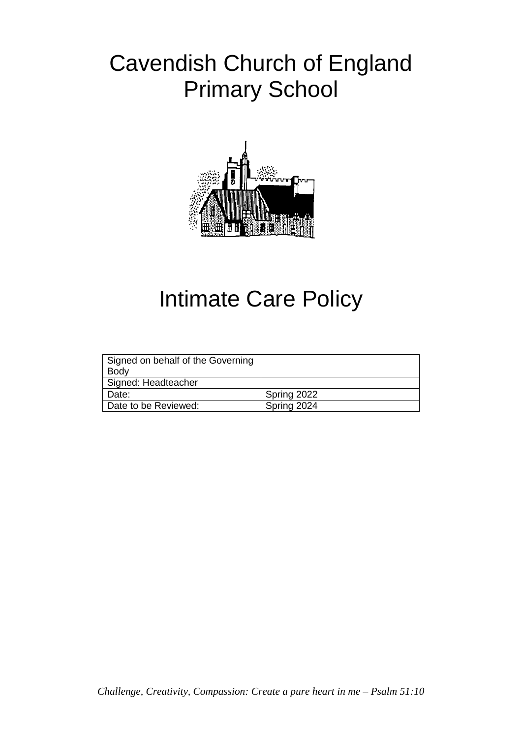## Cavendish Church of England Primary School



# Intimate Care Policy

| Signed on behalf of the Governing<br><b>Body</b> |             |
|--------------------------------------------------|-------------|
| Signed: Headteacher                              |             |
| Date:                                            | Spring 2022 |
| Date to be Reviewed:                             | Spring 2024 |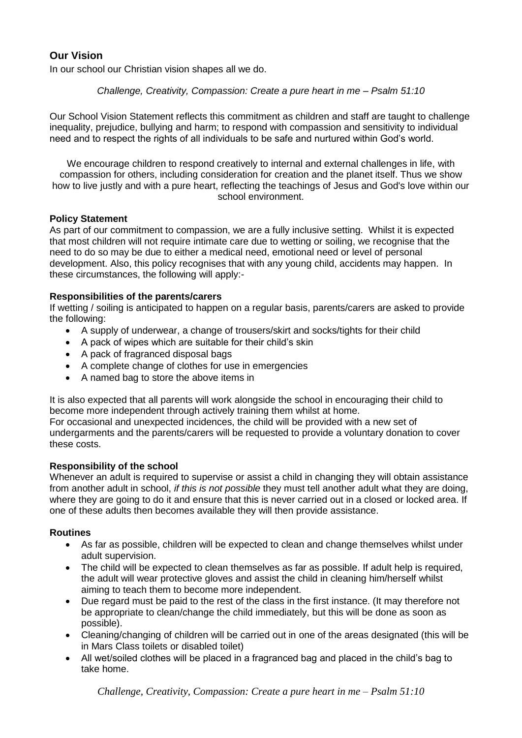### **Our Vision**

In our school our Christian vision shapes all we do.

#### *Challenge, Creativity, Compassion: Create a pure heart in me – Psalm 51:10*

Our School Vision Statement reflects this commitment as children and staff are taught to challenge inequality, prejudice, bullying and harm; to respond with compassion and sensitivity to individual need and to respect the rights of all individuals to be safe and nurtured within God's world.

We encourage children to respond creatively to internal and external challenges in life, with compassion for others, including consideration for creation and the planet itself. Thus we show how to live justly and with a pure heart, reflecting the teachings of Jesus and God's love within our school environment.

#### **Policy Statement**

As part of our commitment to compassion, we are a fully inclusive setting. Whilst it is expected that most children will not require intimate care due to wetting or soiling, we recognise that the need to do so may be due to either a medical need, emotional need or level of personal development. Also, this policy recognises that with any young child, accidents may happen. In these circumstances, the following will apply:-

#### **Responsibilities of the parents/carers**

If wetting / soiling is anticipated to happen on a regular basis, parents/carers are asked to provide the following:

- A supply of underwear, a change of trousers/skirt and socks/tights for their child
- A pack of wipes which are suitable for their child's skin
- A pack of fragranced disposal bags
- A complete change of clothes for use in emergencies
- A named bag to store the above items in

It is also expected that all parents will work alongside the school in encouraging their child to become more independent through actively training them whilst at home.

For occasional and unexpected incidences, the child will be provided with a new set of undergarments and the parents/carers will be requested to provide a voluntary donation to cover these costs.

#### **Responsibility of the school**

Whenever an adult is required to supervise or assist a child in changing they will obtain assistance from another adult in school, *if this is not possible* they must tell another adult what they are doing, where they are going to do it and ensure that this is never carried out in a closed or locked area. If one of these adults then becomes available they will then provide assistance.

#### **Routines**

- As far as possible, children will be expected to clean and change themselves whilst under adult supervision.
- The child will be expected to clean themselves as far as possible. If adult help is required, the adult will wear protective gloves and assist the child in cleaning him/herself whilst aiming to teach them to become more independent.
- Due regard must be paid to the rest of the class in the first instance. (It may therefore not be appropriate to clean/change the child immediately, but this will be done as soon as possible).
- Cleaning/changing of children will be carried out in one of the areas designated (this will be in Mars Class toilets or disabled toilet)
- All wet/soiled clothes will be placed in a fragranced bag and placed in the child's bag to take home.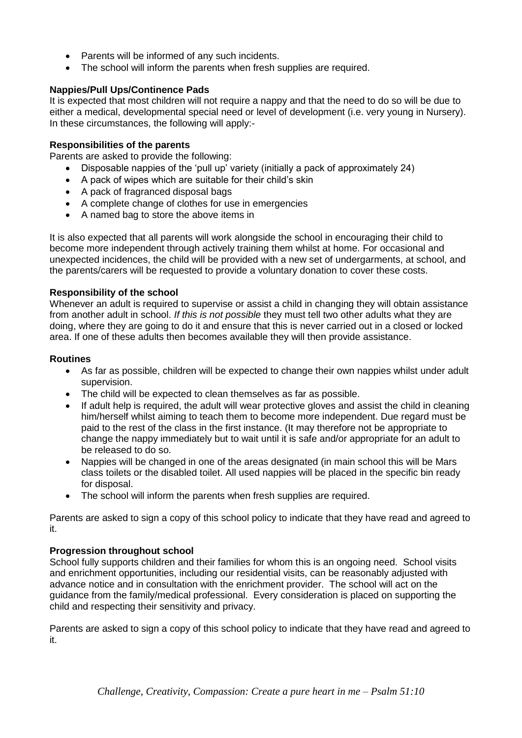- Parents will be informed of any such incidents.
- The school will inform the parents when fresh supplies are required.

#### **Nappies/Pull Ups/Continence Pads**

It is expected that most children will not require a nappy and that the need to do so will be due to either a medical, developmental special need or level of development (i.e. very young in Nursery). In these circumstances, the following will apply:-

#### **Responsibilities of the parents**

Parents are asked to provide the following:

- Disposable nappies of the 'pull up' variety (initially a pack of approximately 24)
- A pack of wipes which are suitable for their child's skin
- A pack of fragranced disposal bags
- A complete change of clothes for use in emergencies
- A named bag to store the above items in

It is also expected that all parents will work alongside the school in encouraging their child to become more independent through actively training them whilst at home. For occasional and unexpected incidences, the child will be provided with a new set of undergarments, at school, and the parents/carers will be requested to provide a voluntary donation to cover these costs.

#### **Responsibility of the school**

Whenever an adult is required to supervise or assist a child in changing they will obtain assistance from another adult in school. *If this is not possible* they must tell two other adults what they are doing, where they are going to do it and ensure that this is never carried out in a closed or locked area. If one of these adults then becomes available they will then provide assistance.

#### **Routines**

- As far as possible, children will be expected to change their own nappies whilst under adult supervision.
- The child will be expected to clean themselves as far as possible.
- If adult help is required, the adult will wear protective gloves and assist the child in cleaning him/herself whilst aiming to teach them to become more independent. Due regard must be paid to the rest of the class in the first instance. (It may therefore not be appropriate to change the nappy immediately but to wait until it is safe and/or appropriate for an adult to be released to do so.
- Nappies will be changed in one of the areas designated (in main school this will be Mars class toilets or the disabled toilet. All used nappies will be placed in the specific bin ready for disposal.
- The school will inform the parents when fresh supplies are required.

Parents are asked to sign a copy of this school policy to indicate that they have read and agreed to it.

#### **Progression throughout school**

School fully supports children and their families for whom this is an ongoing need. School visits and enrichment opportunities, including our residential visits, can be reasonably adjusted with advance notice and in consultation with the enrichment provider. The school will act on the guidance from the family/medical professional. Every consideration is placed on supporting the child and respecting their sensitivity and privacy.

Parents are asked to sign a copy of this school policy to indicate that they have read and agreed to it.